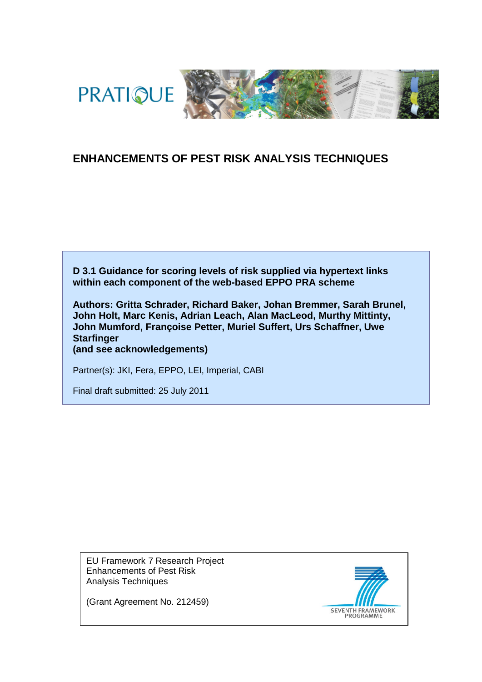



# **ENHANCEMENTS OF PEST RISK ANALYSIS TECHNIQUES**

**D 3.1 Guidance for scoring levels of risk supplied via hypertext links within each component of the web-based EPPO PRA scheme**

**Authors: Gritta Schrader, Richard Baker, Johan Bremmer, Sarah Brunel, John Holt, Marc Kenis, Adrian Leach, Alan MacLeod, Murthy Mittinty, John Mumford, Françoise Petter, Muriel Suffert, Urs Schaffner, Uwe Starfinger**

**(and see acknowledgements)**

Partner(s): JKI, Fera, EPPO, LEI, Imperial, CABI

Final draft submitted: 25 July 2011

EU Framework 7 Research Project Enhancements of Pest Risk Analysis Techniques

SEVENTH FRAMEWORK

(Grant Agreement No. 212459)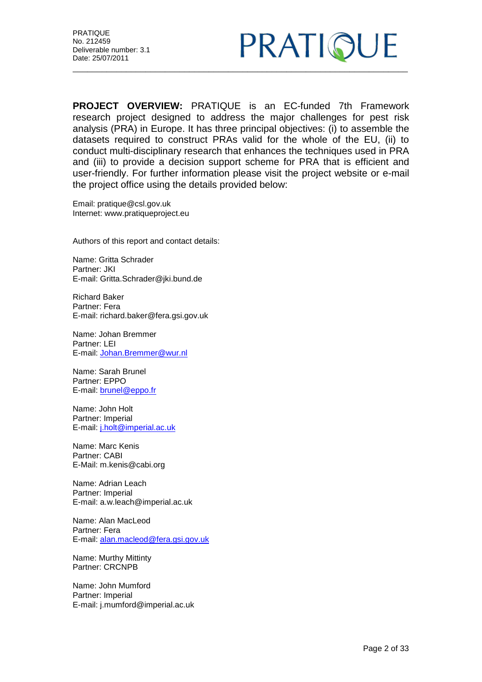

**PROJECT OVERVIEW:** PRATIQUE is an EC-funded 7th Framework research project designed to address the major challenges for pest risk analysis (PRA) in Europe. It has three principal objectives: (i) to assemble the datasets required to construct PRAs valid for the whole of the EU, (ii) to conduct multi-disciplinary research that enhances the techniques used in PRA and (iii) to provide a decision support scheme for PRA that is efficient and user-friendly. For further information please visit the project website or e-mail the project office using the details provided below:

Email: pratique@csl.gov.uk Internet: www.pratiqueproject.eu

Authors of this report and contact details:

Name: Gritta Schrader Partner: JKI E-mail: Gritta.Schrader@jki.bund.de

Richard Baker Partner: Fera E-mail: richard.baker@fera.gsi.gov.uk

Name: Johan Bremmer Partner: LEI E-mail: [Johan.Bremmer@wur.nl](mailto:Johan.Bremmer@wur.nl)

Name: Sarah Brunel Partner: EPPO E-mail: [brunel@eppo.fr](mailto:brunel@eppo.fr)

Name: John Holt Partner: Imperial E-mail: [j.holt@imperial.ac.uk](mailto:j.holt@imperial.ac.uk)

Name: Marc Kenis Partner: CABI E-Mail: m.kenis@cabi.org

Name: Adrian Leach Partner: Imperial E-mail: a.w.leach@imperial.ac.uk

Name: Alan MacLeod Partner: Fera E-mail: [alan.macleod@fera.gsi.gov.uk](mailto:alan.macleod@fera.gsi.gov.uk)

Name: Murthy Mittinty Partner: CRCNPB

Name: John Mumford Partner: Imperial E-mail: j.mumford@imperial.ac.uk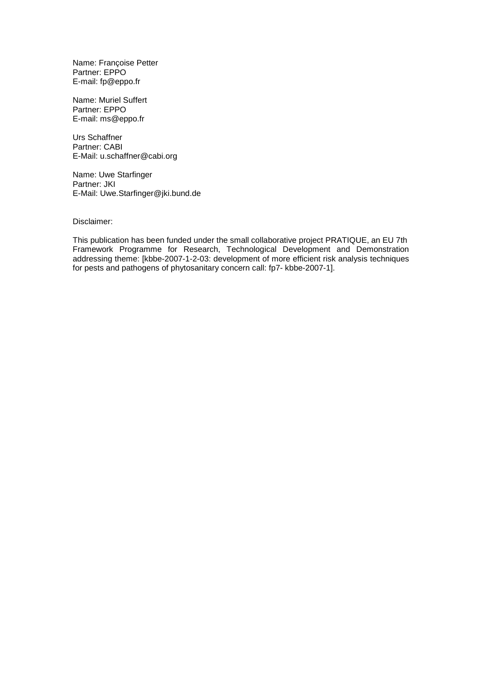Name: Françoise Petter Partner: EPPO E-mail: fp@eppo.fr

Name: Muriel Suffert Partner: EPPO E-mail: ms@eppo.fr

Urs Schaffner Partner: CABI E-Mail: u.schaffner@cabi.org

Name: Uwe Starfinger Partner: JKI E-Mail: Uwe.Starfinger@jki.bund.de

Disclaimer:

This publication has been funded under the small collaborative project PRATIQUE, an EU 7th Framework Programme for Research, Technological Development and Demonstration addressing theme: [kbbe-2007-1-2-03: development of more efficient risk analysis techniques for pests and pathogens of phytosanitary concern call: fp7- kbbe-2007-1].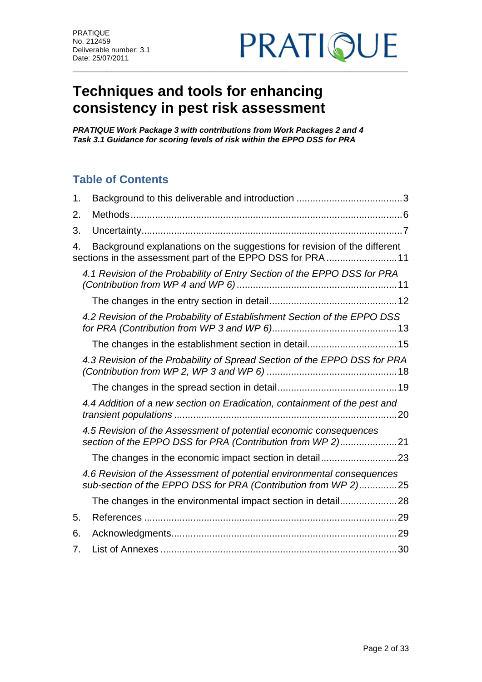

# **Techniques and tools for enhancing consistency in pest risk assessment**

*PRATIQUE Work Package 3 with contributions from Work Packages 2 and 4 Task 3.1 Guidance for scoring levels of risk within the EPPO DSS for PRA* 

# **Table of Contents**

| 1. |                                                                                                                                          |  |
|----|------------------------------------------------------------------------------------------------------------------------------------------|--|
| 2. |                                                                                                                                          |  |
| 3. |                                                                                                                                          |  |
| 4. | Background explanations on the suggestions for revision of the different<br>sections in the assessment part of the EPPO DSS for PRA  11  |  |
|    | 4.1 Revision of the Probability of Entry Section of the EPPO DSS for PRA                                                                 |  |
|    |                                                                                                                                          |  |
|    | 4.2 Revision of the Probability of Establishment Section of the EPPO DSS                                                                 |  |
|    |                                                                                                                                          |  |
|    | 4.3 Revision of the Probability of Spread Section of the EPPO DSS for PRA                                                                |  |
|    |                                                                                                                                          |  |
|    | 4.4 Addition of a new section on Eradication, containment of the pest and                                                                |  |
|    | 4.5 Revision of the Assessment of potential economic consequences<br>section of the EPPO DSS for PRA (Contribution from WP 2)21          |  |
|    |                                                                                                                                          |  |
|    | 4.6 Revision of the Assessment of potential environmental consequences<br>sub-section of the EPPO DSS for PRA (Contribution from WP 2)25 |  |
|    | The changes in the environmental impact section in detail28                                                                              |  |
| 5. |                                                                                                                                          |  |
| 6. |                                                                                                                                          |  |
| 7. |                                                                                                                                          |  |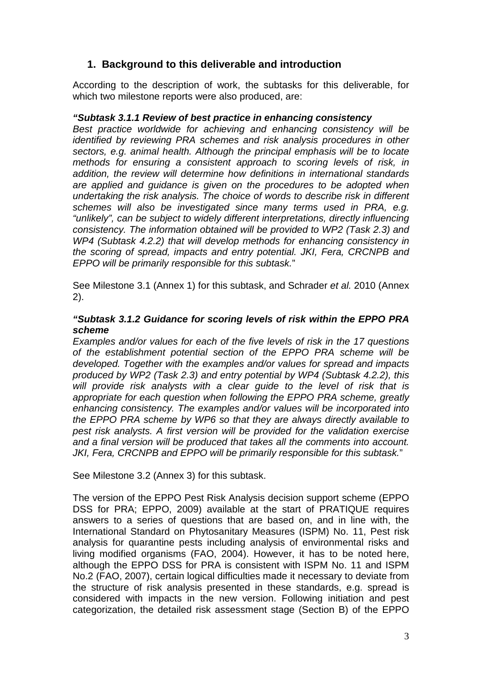# <span id="page-4-0"></span>**1. Background to this deliverable and introduction**

According to the description of work, the subtasks for this deliverable, for which two milestone reports were also produced, are:

#### *"Subtask 3.1.1 Review of best practice in enhancing consistency*

*Best practice worldwide for achieving and enhancing consistency will be identified by reviewing PRA schemes and risk analysis procedures in other sectors, e.g. animal health. Although the principal emphasis will be to locate methods for ensuring a consistent approach to scoring levels of risk, in addition, the review will determine how definitions in international standards are applied and guidance is given on the procedures to be adopted when undertaking the risk analysis. The choice of words to describe risk in different schemes will also be investigated since many terms used in PRA, e.g. "unlikely", can be subject to widely different interpretations, directly influencing consistency. The information obtained will be provided to WP2 (Task 2.3) and WP4 (Subtask 4.2.2) that will develop methods for enhancing consistency in the scoring of spread, impacts and entry potential. JKI, Fera, CRCNPB and EPPO will be primarily responsible for this subtask.*"

See Milestone 3.1 (Annex 1) for this subtask, and Schrader *et al.* 2010 (Annex 2).

#### *"Subtask 3.1.2 Guidance for scoring levels of risk within the EPPO PRA scheme*

*Examples and/or values for each of the five levels of risk in the 17 questions of the establishment potential section of the EPPO PRA scheme will be developed. Together with the examples and/or values for spread and impacts produced by WP2 (Task 2.3) and entry potential by WP4 (Subtask 4.2.2), this will provide risk analysts with a clear guide to the level of risk that is appropriate for each question when following the EPPO PRA scheme, greatly enhancing consistency. The examples and/or values will be incorporated into the EPPO PRA scheme by WP6 so that they are always directly available to pest risk analysts. A first version will be provided for the validation exercise and a final version will be produced that takes all the comments into account. JKI, Fera, CRCNPB and EPPO will be primarily responsible for this subtask.*"

See Milestone 3.2 (Annex 3) for this subtask.

The version of the EPPO Pest Risk Analysis decision support scheme (EPPO DSS for PRA; EPPO, 2009) available at the start of PRATIQUE requires answers to a series of questions that are based on, and in line with, the International Standard on Phytosanitary Measures (ISPM) No. 11, Pest risk analysis for quarantine pests including analysis of environmental risks and living modified organisms (FAO, 2004). However, it has to be noted here, although the EPPO DSS for PRA is consistent with ISPM No. 11 and ISPM No.2 (FAO, 2007), certain logical difficulties made it necessary to deviate from the structure of risk analysis presented in these standards, e.g. spread is considered with impacts in the new version. Following initiation and pest categorization, the detailed risk assessment stage (Section B) of the EPPO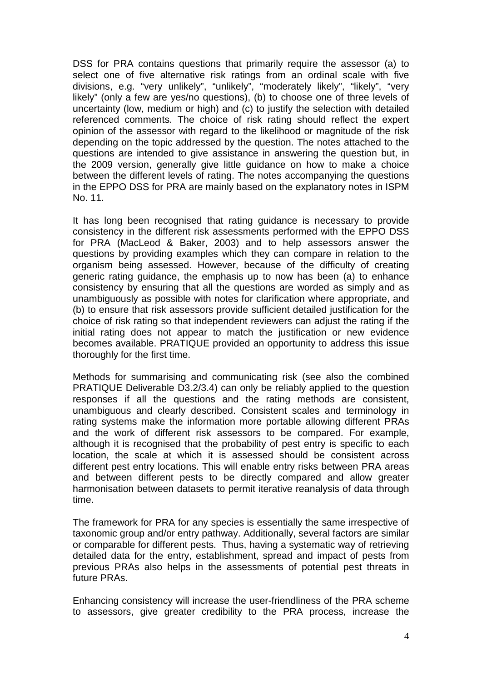DSS for PRA contains questions that primarily require the assessor (a) to select one of five alternative risk ratings from an ordinal scale with five divisions, e.g. "very unlikely", "unlikely", "moderately likely", "likely", "very likely" (only a few are yes/no questions), (b) to choose one of three levels of uncertainty (low, medium or high) and (c) to justify the selection with detailed referenced comments. The choice of risk rating should reflect the expert opinion of the assessor with regard to the likelihood or magnitude of the risk depending on the topic addressed by the question. The notes attached to the questions are intended to give assistance in answering the question but, in the 2009 version, generally give little guidance on how to make a choice between the different levels of rating. The notes accompanying the questions in the EPPO DSS for PRA are mainly based on the explanatory notes in ISPM No. 11.

It has long been recognised that rating guidance is necessary to provide consistency in the different risk assessments performed with the EPPO DSS for PRA (MacLeod & Baker, 2003) and to help assessors answer the questions by providing examples which they can compare in relation to the organism being assessed. However, because of the difficulty of creating generic rating guidance, the emphasis up to now has been (a) to enhance consistency by ensuring that all the questions are worded as simply and as unambiguously as possible with notes for clarification where appropriate, and (b) to ensure that risk assessors provide sufficient detailed justification for the choice of risk rating so that independent reviewers can adjust the rating if the initial rating does not appear to match the justification or new evidence becomes available. PRATIQUE provided an opportunity to address this issue thoroughly for the first time.

Methods for summarising and communicating risk (see also the combined PRATIQUE Deliverable D3.2/3.4) can only be reliably applied to the question responses if all the questions and the rating methods are consistent, unambiguous and clearly described. Consistent scales and terminology in rating systems make the information more portable allowing different PRAs and the work of different risk assessors to be compared. For example, although it is recognised that the probability of pest entry is specific to each location, the scale at which it is assessed should be consistent across different pest entry locations. This will enable entry risks between PRA areas and between different pests to be directly compared and allow greater harmonisation between datasets to permit iterative reanalysis of data through time.

The framework for PRA for any species is essentially the same irrespective of taxonomic group and/or entry pathway. Additionally, several factors are similar or comparable for different pests. Thus, having a systematic way of retrieving detailed data for the entry, establishment, spread and impact of pests from previous PRAs also helps in the assessments of potential pest threats in future PRAs.

Enhancing consistency will increase the user-friendliness of the PRA scheme to assessors, give greater credibility to the PRA process, increase the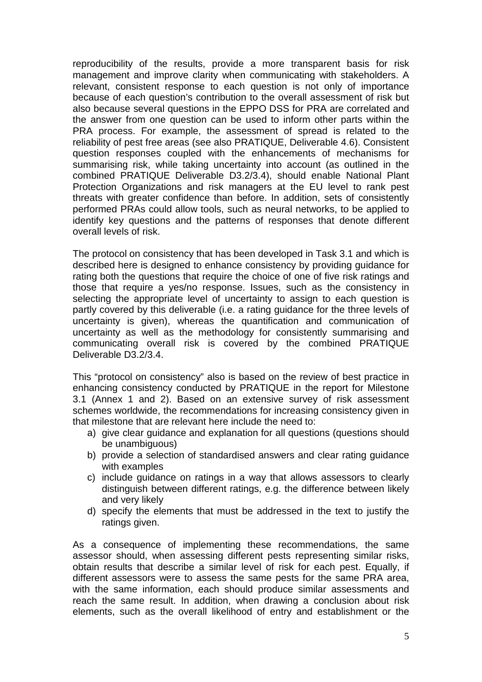reproducibility of the results, provide a more transparent basis for risk management and improve clarity when communicating with stakeholders. A relevant, consistent response to each question is not only of importance because of each question's contribution to the overall assessment of risk but also because several questions in the EPPO DSS for PRA are correlated and the answer from one question can be used to inform other parts within the PRA process. For example, the assessment of spread is related to the reliability of pest free areas (see also PRATIQUE, Deliverable 4.6). Consistent question responses coupled with the enhancements of mechanisms for summarising risk, while taking uncertainty into account (as outlined in the combined PRATIQUE Deliverable D3.2/3.4), should enable National Plant Protection Organizations and risk managers at the EU level to rank pest threats with greater confidence than before. In addition, sets of consistently performed PRAs could allow tools, such as neural networks, to be applied to identify key questions and the patterns of responses that denote different overall levels of risk.

The protocol on consistency that has been developed in Task 3.1 and which is described here is designed to enhance consistency by providing guidance for rating both the questions that require the choice of one of five risk ratings and those that require a yes/no response. Issues, such as the consistency in selecting the appropriate level of uncertainty to assign to each question is partly covered by this deliverable (i.e. a rating guidance for the three levels of uncertainty is given), whereas the quantification and communication of uncertainty as well as the methodology for consistently summarising and communicating overall risk is covered by the combined PRATIQUE Deliverable D3.2/3.4.

This "protocol on consistency" also is based on the review of best practice in enhancing consistency conducted by PRATIQUE in the report for Milestone 3.1 (Annex 1 and 2). Based on an extensive survey of risk assessment schemes worldwide, the recommendations for increasing consistency given in that milestone that are relevant here include the need to:

- a) give clear guidance and explanation for all questions (questions should be unambiguous)
- b) provide a selection of standardised answers and clear rating guidance with examples
- c) include guidance on ratings in a way that allows assessors to clearly distinguish between different ratings, e.g. the difference between likely and very likely
- d) specify the elements that must be addressed in the text to justify the ratings given.

As a consequence of implementing these recommendations, the same assessor should, when assessing different pests representing similar risks, obtain results that describe a similar level of risk for each pest. Equally, if different assessors were to assess the same pests for the same PRA area, with the same information, each should produce similar assessments and reach the same result. In addition, when drawing a conclusion about risk elements, such as the overall likelihood of entry and establishment or the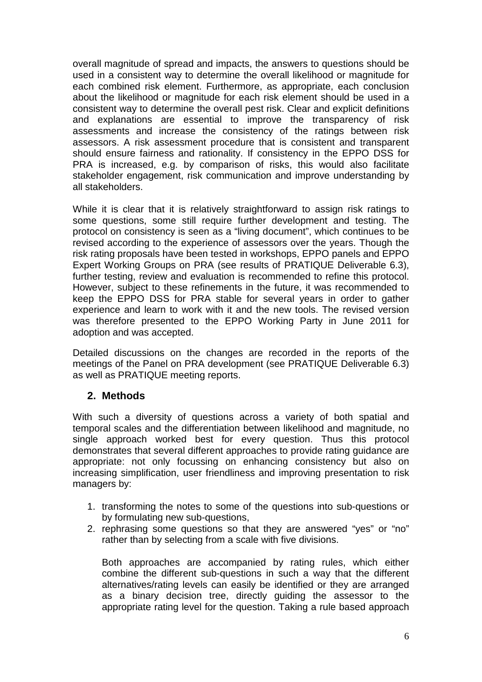overall magnitude of spread and impacts, the answers to questions should be used in a consistent way to determine the overall likelihood or magnitude for each combined risk element. Furthermore, as appropriate, each conclusion about the likelihood or magnitude for each risk element should be used in a consistent way to determine the overall pest risk. Clear and explicit definitions and explanations are essential to improve the transparency of risk assessments and increase the consistency of the ratings between risk assessors. A risk assessment procedure that is consistent and transparent should ensure fairness and rationality. If consistency in the EPPO DSS for PRA is increased, e.g. by comparison of risks, this would also facilitate stakeholder engagement, risk communication and improve understanding by all stakeholders.

While it is clear that it is relatively straightforward to assign risk ratings to some questions, some still require further development and testing. The protocol on consistency is seen as a "living document", which continues to be revised according to the experience of assessors over the years. Though the risk rating proposals have been tested in workshops, EPPO panels and EPPO Expert Working Groups on PRA (see results of PRATIQUE Deliverable 6.3), further testing, review and evaluation is recommended to refine this protocol. However, subject to these refinements in the future, it was recommended to keep the EPPO DSS for PRA stable for several years in order to gather experience and learn to work with it and the new tools. The revised version was therefore presented to the EPPO Working Party in June 2011 for adoption and was accepted.

Detailed discussions on the changes are recorded in the reports of the meetings of the Panel on PRA development (see PRATIQUE Deliverable 6.3) as well as PRATIQUE meeting reports.

## <span id="page-7-0"></span>**2. Methods**

With such a diversity of questions across a variety of both spatial and temporal scales and the differentiation between likelihood and magnitude, no single approach worked best for every question. Thus this protocol demonstrates that several different approaches to provide rating guidance are appropriate: not only focussing on enhancing consistency but also on increasing simplification, user friendliness and improving presentation to risk managers by:

- 1. transforming the notes to some of the questions into sub-questions or by formulating new sub-questions,
- 2. rephrasing some questions so that they are answered "yes" or "no" rather than by selecting from a scale with five divisions.

Both approaches are accompanied by rating rules, which either combine the different sub-questions in such a way that the different alternatives/rating levels can easily be identified or they are arranged as a binary decision tree, directly guiding the assessor to the appropriate rating level for the question. Taking a rule based approach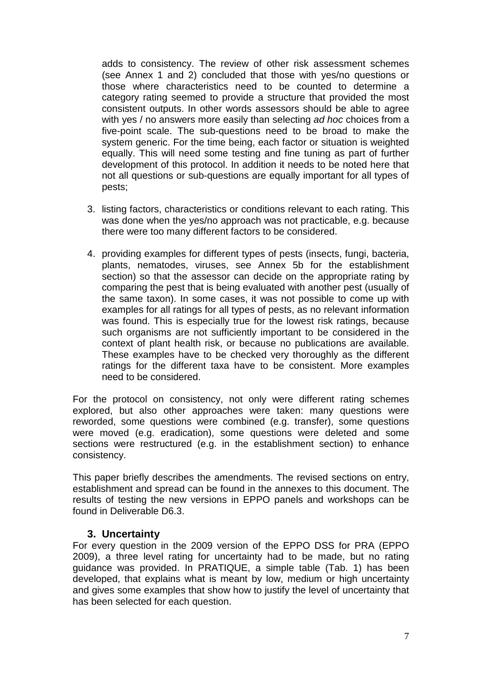adds to consistency. The review of other risk assessment schemes (see Annex 1 and 2) concluded that those with yes/no questions or those where characteristics need to be counted to determine a category rating seemed to provide a structure that provided the most consistent outputs. In other words assessors should be able to agree with yes / no answers more easily than selecting *ad hoc* choices from a five-point scale. The sub-questions need to be broad to make the system generic. For the time being, each factor or situation is weighted equally. This will need some testing and fine tuning as part of further development of this protocol. In addition it needs to be noted here that not all questions or sub-questions are equally important for all types of pests;

- 3. listing factors, characteristics or conditions relevant to each rating. This was done when the yes/no approach was not practicable, e.g. because there were too many different factors to be considered.
- 4. providing examples for different types of pests (insects, fungi, bacteria, plants, nematodes, viruses, see Annex 5b for the establishment section) so that the assessor can decide on the appropriate rating by comparing the pest that is being evaluated with another pest (usually of the same taxon). In some cases, it was not possible to come up with examples for all ratings for all types of pests, as no relevant information was found. This is especially true for the lowest risk ratings, because such organisms are not sufficiently important to be considered in the context of plant health risk, or because no publications are available. These examples have to be checked very thoroughly as the different ratings for the different taxa have to be consistent. More examples need to be considered.

For the protocol on consistency, not only were different rating schemes explored, but also other approaches were taken: many questions were reworded, some questions were combined (e.g. transfer), some questions were moved (e.g. eradication), some questions were deleted and some sections were restructured (e.g. in the establishment section) to enhance consistency.

This paper briefly describes the amendments. The revised sections on entry, establishment and spread can be found in the annexes to this document. The results of testing the new versions in EPPO panels and workshops can be found in Deliverable D6.3.

#### **3. Uncertainty**

<span id="page-8-0"></span>For every question in the 2009 version of the EPPO DSS for PRA (EPPO 2009), a three level rating for uncertainty had to be made, but no rating guidance was provided. In PRATIQUE, a simple table (Tab. 1) has been developed, that explains what is meant by low, medium or high uncertainty and gives some examples that show how to justify the level of uncertainty that has been selected for each question.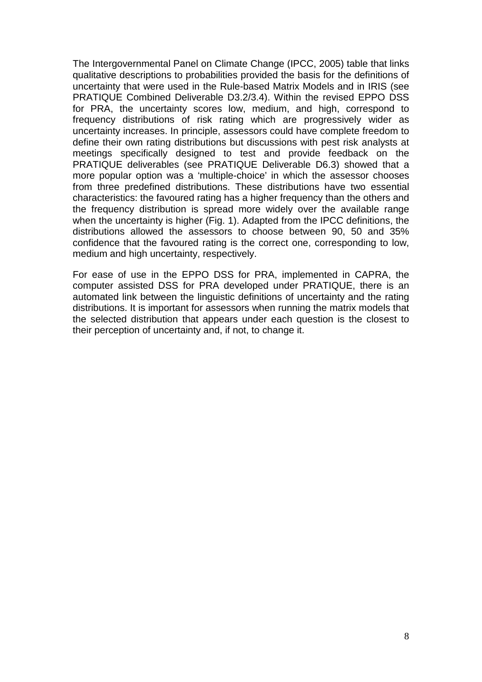The Intergovernmental Panel on Climate Change (IPCC, 2005) table that links qualitative descriptions to probabilities provided the basis for the definitions of uncertainty that were used in the Rule-based Matrix Models and in IRIS (see PRATIQUE Combined Deliverable D3.2/3.4). Within the revised EPPO DSS for PRA, the uncertainty scores low, medium, and high, correspond to frequency distributions of risk rating which are progressively wider as uncertainty increases. In principle, assessors could have complete freedom to define their own rating distributions but discussions with pest risk analysts at meetings specifically designed to test and provide feedback on the PRATIQUE deliverables (see PRATIQUE Deliverable D6.3) showed that a more popular option was a 'multiple-choice' in which the assessor chooses from three predefined distributions. These distributions have two essential characteristics: the favoured rating has a higher frequency than the others and the frequency distribution is spread more widely over the available range when the uncertainty is higher (Fig. 1). Adapted from the IPCC definitions, the distributions allowed the assessors to choose between 90, 50 and 35% confidence that the favoured rating is the correct one, corresponding to low, medium and high uncertainty, respectively.

For ease of use in the EPPO DSS for PRA, implemented in CAPRA, the computer assisted DSS for PRA developed under PRATIQUE, there is an automated link between the linguistic definitions of uncertainty and the rating distributions. It is important for assessors when running the matrix models that the selected distribution that appears under each question is the closest to their perception of uncertainty and, if not, to change it.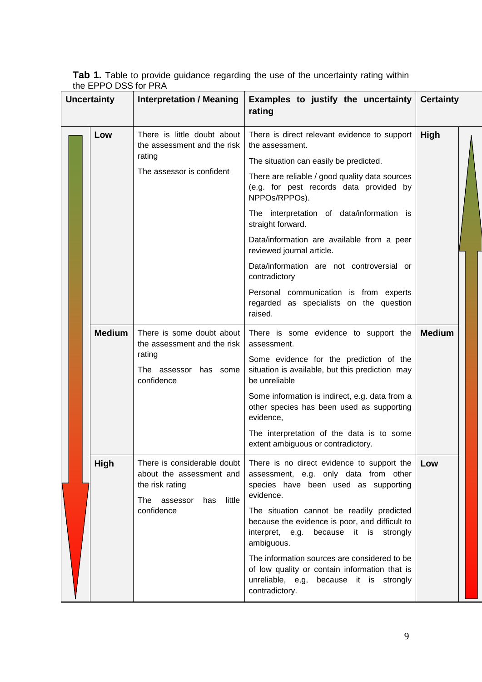**Tab 1.** Table to provide guidance regarding the use of the uncertainty rating within the EPPO DSS for PRA

| <b>Uncertainty</b> |               | <b>Interpretation / Meaning</b>                                                                                           | Examples to justify the uncertainty<br>rating                                                                                                                                                                                                                                                                                                                                                                                                                                                                                      | <b>Certainty</b> |
|--------------------|---------------|---------------------------------------------------------------------------------------------------------------------------|------------------------------------------------------------------------------------------------------------------------------------------------------------------------------------------------------------------------------------------------------------------------------------------------------------------------------------------------------------------------------------------------------------------------------------------------------------------------------------------------------------------------------------|------------------|
|                    | Low           | There is little doubt about<br>the assessment and the risk<br>rating<br>The assessor is confident                         | There is direct relevant evidence to support<br>the assessment.<br>The situation can easily be predicted.<br>There are reliable / good quality data sources<br>(e.g. for pest records data provided by<br>NPPOs/RPPOs).<br>The interpretation of data/information is<br>straight forward.<br>Data/information are available from a peer<br>reviewed journal article.<br>Data/information are not controversial or<br>contradictory<br>Personal communication is from experts<br>regarded as specialists on the question<br>raised. | High             |
|                    | <b>Medium</b> | There is some doubt about<br>the assessment and the risk<br>rating<br>The assessor has some<br>confidence                 | There is some evidence to support the<br>assessment.<br>Some evidence for the prediction of the<br>situation is available, but this prediction may<br>be unreliable<br>Some information is indirect, e.g. data from a<br>other species has been used as supporting<br>evidence,<br>The interpretation of the data is to some<br>extent ambiguous or contradictory.                                                                                                                                                                 | <b>Medium</b>    |
|                    | High          | There is considerable doubt<br>about the assessment and<br>the risk rating<br>little<br>The assessor<br>has<br>confidence | There is no direct evidence to support the<br>assessment, e.g. only data from other<br>species have been used as supporting<br>evidence.<br>The situation cannot be readily predicted<br>because the evidence is poor, and difficult to<br>interpret, e.g.<br>because it is<br>strongly<br>ambiguous.<br>The information sources are considered to be<br>of low quality or contain information that is<br>unreliable, e,g, because it is strongly<br>contradictory.                                                                | Low              |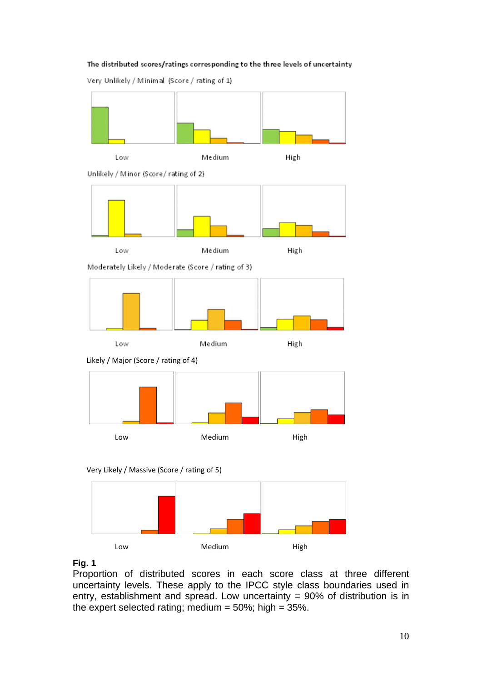#### The distributed scores/ratings corresponding to the three levels of uncertainty

Very Unlikely / Minimal (Score / rating of 1)













## **Fig. 1**

Proportion of distributed scores in each score class at three different uncertainty levels. These apply to the IPCC style class boundaries used in entry, establishment and spread. Low uncertainty  $= 90\%$  of distribution is in the expert selected rating; medium =  $50\%$ ; high =  $35\%$ .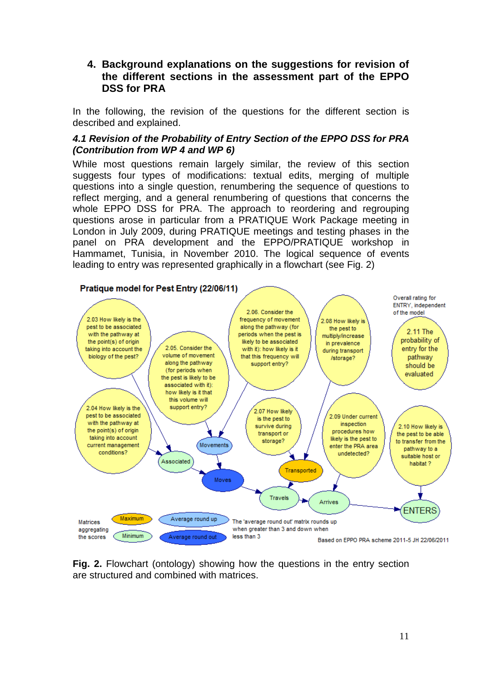## <span id="page-12-0"></span>**4. Background explanations on the suggestions for revision of the different sections in the assessment part of the EPPO DSS for PRA**

In the following, the revision of the questions for the different section is described and explained.

#### <span id="page-12-1"></span>*4.1 Revision of the Probability of Entry Section of the EPPO DSS for PRA (Contribution from WP 4 and WP 6)*

While most questions remain largely similar, the review of this section suggests four types of modifications: textual edits, merging of multiple questions into a single question, renumbering the sequence of questions to reflect merging, and a general renumbering of questions that concerns the whole EPPO DSS for PRA. The approach to reordering and regrouping questions arose in particular from a PRATIQUE Work Package meeting in London in July 2009, during PRATIQUE meetings and testing phases in the panel on PRA development and the EPPO/PRATIQUE workshop in Hammamet, Tunisia, in November 2010. The logical sequence of events leading to entry was represented graphically in a flowchart (see Fig. 2)



**Fig. 2.** Flowchart (ontology) showing how the questions in the entry section are structured and combined with matrices.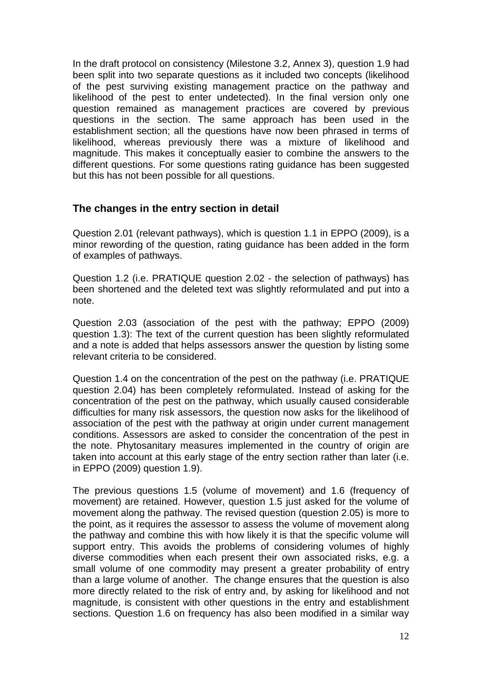In the draft protocol on consistency (Milestone 3.2, Annex 3), question 1.9 had been split into two separate questions as it included two concepts (likelihood of the pest surviving existing management practice on the pathway and likelihood of the pest to enter undetected). In the final version only one question remained as management practices are covered by previous questions in the section. The same approach has been used in the establishment section; all the questions have now been phrased in terms of likelihood, whereas previously there was a mixture of likelihood and magnitude. This makes it conceptually easier to combine the answers to the different questions. For some questions rating guidance has been suggested but this has not been possible for all questions.

# <span id="page-13-0"></span>**The changes in the entry section in detail**

Question 2.01 (relevant pathways), which is question 1.1 in EPPO (2009), is a minor rewording of the question, rating guidance has been added in the form of examples of pathways.

Question 1.2 (i.e. PRATIQUE question 2.02 - the selection of pathways) has been shortened and the deleted text was slightly reformulated and put into a note.

Question 2.03 (association of the pest with the pathway; EPPO (2009) question 1.3): The text of the current question has been slightly reformulated and a note is added that helps assessors answer the question by listing some relevant criteria to be considered.

Question 1.4 on the concentration of the pest on the pathway (i.e. PRATIQUE question 2.04) has been completely reformulated. Instead of asking for the concentration of the pest on the pathway, which usually caused considerable difficulties for many risk assessors, the question now asks for the likelihood of association of the pest with the pathway at origin under current management conditions. Assessors are asked to consider the concentration of the pest in the note. Phytosanitary measures implemented in the country of origin are taken into account at this early stage of the entry section rather than later (i.e. in EPPO (2009) question 1.9).

The previous questions 1.5 (volume of movement) and 1.6 (frequency of movement) are retained. However, question 1.5 just asked for the volume of movement along the pathway. The revised question (question 2.05) is more to the point, as it requires the assessor to assess the volume of movement along the pathway and combine this with how likely it is that the specific volume will support entry. This avoids the problems of considering volumes of highly diverse commodities when each present their own associated risks, e.g. a small volume of one commodity may present a greater probability of entry than a large volume of another. The change ensures that the question is also more directly related to the risk of entry and, by asking for likelihood and not magnitude, is consistent with other questions in the entry and establishment sections. Question 1.6 on frequency has also been modified in a similar way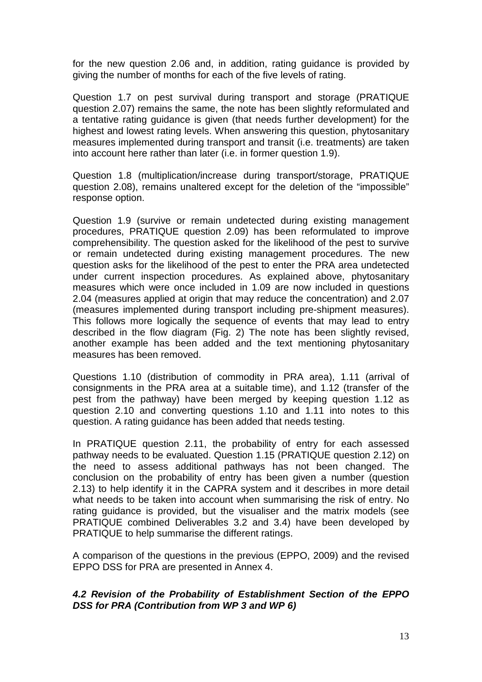for the new question 2.06 and, in addition, rating guidance is provided by giving the number of months for each of the five levels of rating.

Question 1.7 on pest survival during transport and storage (PRATIQUE question 2.07) remains the same, the note has been slightly reformulated and a tentative rating guidance is given (that needs further development) for the highest and lowest rating levels. When answering this question, phytosanitary measures implemented during transport and transit (i.e. treatments) are taken into account here rather than later (i.e. in former question 1.9).

Question 1.8 (multiplication/increase during transport/storage, PRATIQUE question 2.08), remains unaltered except for the deletion of the "impossible" response option.

Question 1.9 (survive or remain undetected during existing management procedures, PRATIQUE question 2.09) has been reformulated to improve comprehensibility. The question asked for the likelihood of the pest to survive or remain undetected during existing management procedures. The new question asks for the likelihood of the pest to enter the PRA area undetected under current inspection procedures. As explained above, phytosanitary measures which were once included in 1.09 are now included in questions 2.04 (measures applied at origin that may reduce the concentration) and 2.07 (measures implemented during transport including pre-shipment measures). This follows more logically the sequence of events that may lead to entry described in the flow diagram (Fig. 2) The note has been slightly revised, another example has been added and the text mentioning phytosanitary measures has been removed.

Questions 1.10 (distribution of commodity in PRA area), 1.11 (arrival of consignments in the PRA area at a suitable time), and 1.12 (transfer of the pest from the pathway) have been merged by keeping question 1.12 as question 2.10 and converting questions 1.10 and 1.11 into notes to this question. A rating guidance has been added that needs testing.

In PRATIQUE question 2.11, the probability of entry for each assessed pathway needs to be evaluated. Question 1.15 (PRATIQUE question 2.12) on the need to assess additional pathways has not been changed. The conclusion on the probability of entry has been given a number (question 2.13) to help identify it in the CAPRA system and it describes in more detail what needs to be taken into account when summarising the risk of entry. No rating guidance is provided, but the visualiser and the matrix models (see PRATIQUE combined Deliverables 3.2 and 3.4) have been developed by PRATIQUE to help summarise the different ratings.

A comparison of the questions in the previous (EPPO, 2009) and the revised EPPO DSS for PRA are presented in Annex 4.

#### <span id="page-14-0"></span>*4.2 Revision of the Probability of Establishment Section of the EPPO DSS for PRA (Contribution from WP 3 and WP 6)*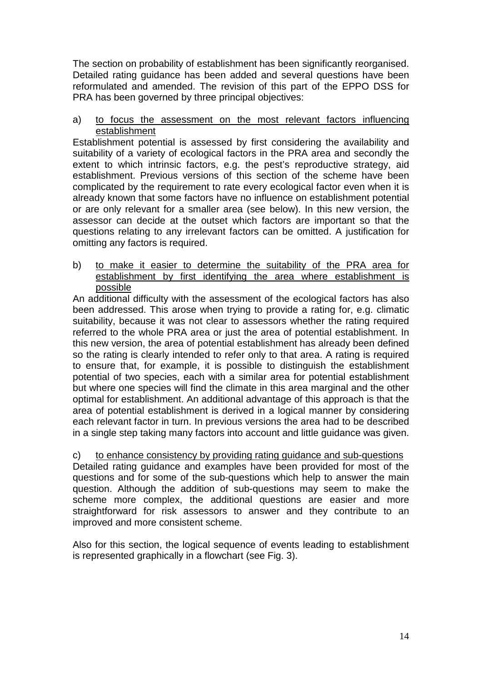The section on probability of establishment has been significantly reorganised. Detailed rating guidance has been added and several questions have been reformulated and amended. The revision of this part of the EPPO DSS for PRA has been governed by three principal objectives:

#### a) to focus the assessment on the most relevant factors influencing establishment

Establishment potential is assessed by first considering the availability and suitability of a variety of ecological factors in the PRA area and secondly the extent to which intrinsic factors, e.g. the pest's reproductive strategy, aid establishment. Previous versions of this section of the scheme have been complicated by the requirement to rate every ecological factor even when it is already known that some factors have no influence on establishment potential or are only relevant for a smaller area (see below). In this new version, the assessor can decide at the outset which factors are important so that the questions relating to any irrelevant factors can be omitted. A justification for omitting any factors is required.

b) to make it easier to determine the suitability of the PRA area for establishment by first identifying the area where establishment is possible

An additional difficulty with the assessment of the ecological factors has also been addressed. This arose when trying to provide a rating for, e.g. climatic suitability, because it was not clear to assessors whether the rating required referred to the whole PRA area or just the area of potential establishment. In this new version, the area of potential establishment has already been defined so the rating is clearly intended to refer only to that area. A rating is required to ensure that, for example, it is possible to distinguish the establishment potential of two species, each with a similar area for potential establishment but where one species will find the climate in this area marginal and the other optimal for establishment. An additional advantage of this approach is that the area of potential establishment is derived in a logical manner by considering each relevant factor in turn. In previous versions the area had to be described in a single step taking many factors into account and little guidance was given.

c) to enhance consistency by providing rating guidance and sub-questions Detailed rating guidance and examples have been provided for most of the questions and for some of the sub-questions which help to answer the main question. Although the addition of sub-questions may seem to make the scheme more complex, the additional questions are easier and more straightforward for risk assessors to answer and they contribute to an improved and more consistent scheme.

Also for this section, the logical sequence of events leading to establishment is represented graphically in a flowchart (see Fig. 3).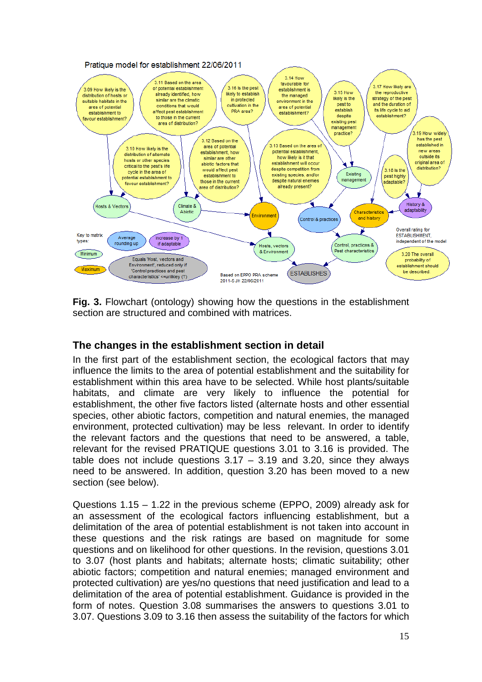

**Fig. 3.** Flowchart (ontology) showing how the questions in the establishment section are structured and combined with matrices.

# <span id="page-16-0"></span>**The changes in the establishment section in detail**

In the first part of the establishment section, the ecological factors that may influence the limits to the area of potential establishment and the suitability for establishment within this area have to be selected. While host plants/suitable habitats, and climate are very likely to influence the potential for establishment, the other five factors listed (alternate hosts and other essential species, other abiotic factors, competition and natural enemies, the managed environment, protected cultivation) may be less relevant. In order to identify the relevant factors and the questions that need to be answered, a table, relevant for the revised PRATIQUE questions 3.01 to 3.16 is provided. The table does not include questions  $3.17 - 3.19$  and  $3.20$ , since they always need to be answered. In addition, question 3.20 has been moved to a new section (see below).

Questions 1.15 – 1.22 in the previous scheme (EPPO, 2009) already ask for an assessment of the ecological factors influencing establishment, but a delimitation of the area of potential establishment is not taken into account in these questions and the risk ratings are based on magnitude for some questions and on likelihood for other questions. In the revision, questions 3.01 to 3.07 (host plants and habitats; alternate hosts; climatic suitability; other abiotic factors; competition and natural enemies; managed environment and protected cultivation) are yes/no questions that need justification and lead to a delimitation of the area of potential establishment. Guidance is provided in the form of notes. Question 3.08 summarises the answers to questions 3.01 to 3.07. Questions 3.09 to 3.16 then assess the suitability of the factors for which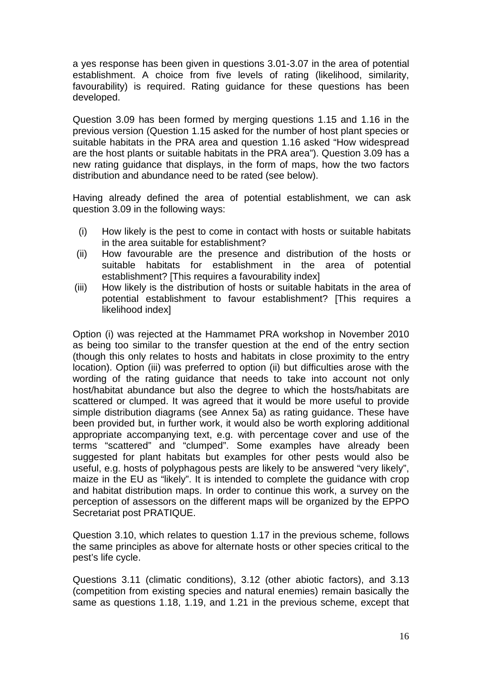a yes response has been given in questions 3.01-3.07 in the area of potential establishment. A choice from five levels of rating (likelihood, similarity, favourability) is required. Rating guidance for these questions has been developed.

Question 3.09 has been formed by merging questions 1.15 and 1.16 in the previous version (Question 1.15 asked for the number of host plant species or suitable habitats in the PRA area and question 1.16 asked "How widespread are the host plants or suitable habitats in the PRA area"). Question 3.09 has a new rating guidance that displays, in the form of maps, how the two factors distribution and abundance need to be rated (see below).

Having already defined the area of potential establishment, we can ask question 3.09 in the following ways:

- (i) How likely is the pest to come in contact with hosts or suitable habitats in the area suitable for establishment?
- (ii) How favourable are the presence and distribution of the hosts or suitable habitats for establishment in the area of potential establishment? [This requires a favourability index]
- (iii) How likely is the distribution of hosts or suitable habitats in the area of potential establishment to favour establishment? [This requires a likelihood index]

Option (i) was rejected at the Hammamet PRA workshop in November 2010 as being too similar to the transfer question at the end of the entry section (though this only relates to hosts and habitats in close proximity to the entry location). Option (iii) was preferred to option (ii) but difficulties arose with the wording of the rating guidance that needs to take into account not only host/habitat abundance but also the degree to which the hosts/habitats are scattered or clumped. It was agreed that it would be more useful to provide simple distribution diagrams (see Annex 5a) as rating guidance. These have been provided but, in further work, it would also be worth exploring additional appropriate accompanying text, e.g. with percentage cover and use of the terms "scattered" and "clumped". Some examples have already been suggested for plant habitats but examples for other pests would also be useful, e.g. hosts of polyphagous pests are likely to be answered "very likely", maize in the EU as "likely". It is intended to complete the guidance with crop and habitat distribution maps. In order to continue this work, a survey on the perception of assessors on the different maps will be organized by the EPPO Secretariat post PRATIQUE.

Question 3.10, which relates to question 1.17 in the previous scheme, follows the same principles as above for alternate hosts or other species critical to the pest's life cycle.

Questions 3.11 (climatic conditions), 3.12 (other abiotic factors), and 3.13 (competition from existing species and natural enemies) remain basically the same as questions 1.18, 1.19, and 1.21 in the previous scheme, except that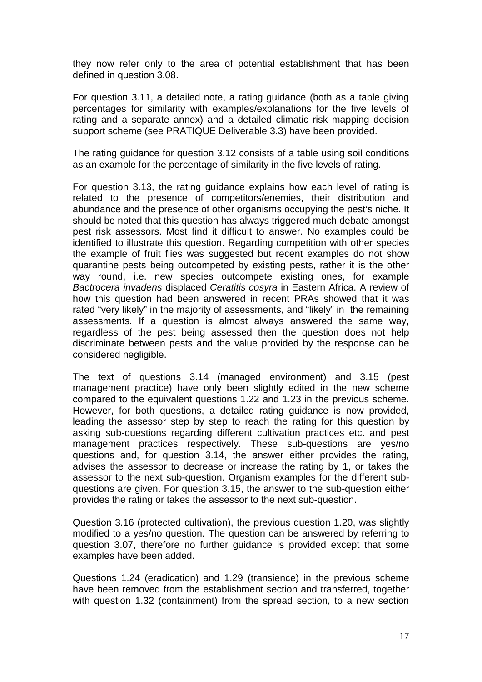they now refer only to the area of potential establishment that has been defined in question 3.08.

For question 3.11, a detailed note, a rating guidance (both as a table giving percentages for similarity with examples/explanations for the five levels of rating and a separate annex) and a detailed climatic risk mapping decision support scheme (see PRATIQUE Deliverable 3.3) have been provided.

The rating guidance for question 3.12 consists of a table using soil conditions as an example for the percentage of similarity in the five levels of rating.

For question 3.13, the rating guidance explains how each level of rating is related to the presence of competitors/enemies, their distribution and abundance and the presence of other organisms occupying the pest's niche. It should be noted that this question has always triggered much debate amongst pest risk assessors. Most find it difficult to answer. No examples could be identified to illustrate this question. Regarding competition with other species the example of fruit flies was suggested but recent examples do not show quarantine pests being outcompeted by existing pests, rather it is the other way round, i.e. new species outcompete existing ones, for example *Bactrocera invadens* displaced *Ceratitis cosyra* in Eastern Africa. A review of how this question had been answered in recent PRAs showed that it was rated "very likely" in the majority of assessments, and "likely" in the remaining assessments. If a question is almost always answered the same way, regardless of the pest being assessed then the question does not help discriminate between pests and the value provided by the response can be considered negligible.

The text of questions 3.14 (managed environment) and 3.15 (pest management practice) have only been slightly edited in the new scheme compared to the equivalent questions 1.22 and 1.23 in the previous scheme. However, for both questions, a detailed rating guidance is now provided, leading the assessor step by step to reach the rating for this question by asking sub-questions regarding different cultivation practices etc. and pest management practices respectively. These sub-questions are yes/no questions and, for question 3.14, the answer either provides the rating, advises the assessor to decrease or increase the rating by 1, or takes the assessor to the next sub-question. Organism examples for the different subquestions are given. For question 3.15, the answer to the sub-question either provides the rating or takes the assessor to the next sub-question.

Question 3.16 (protected cultivation), the previous question 1.20, was slightly modified to a yes/no question. The question can be answered by referring to question 3.07, therefore no further guidance is provided except that some examples have been added.

Questions 1.24 (eradication) and 1.29 (transience) in the previous scheme have been removed from the establishment section and transferred, together with question 1.32 (containment) from the spread section, to a new section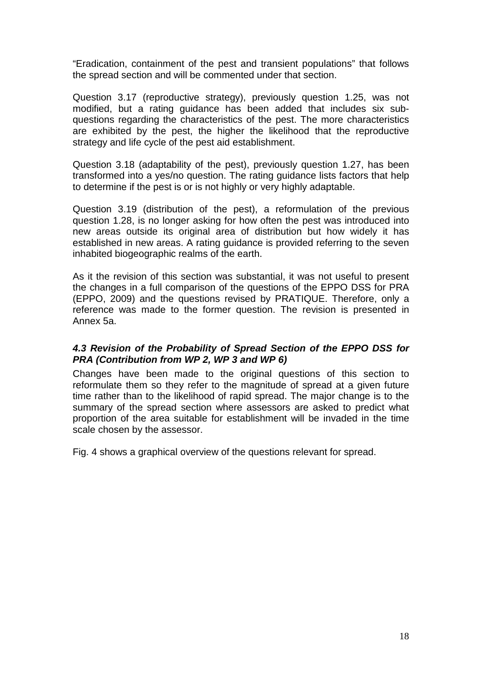"Eradication, containment of the pest and transient populations" that follows the spread section and will be commented under that section.

Question 3.17 (reproductive strategy), previously question 1.25, was not modified, but a rating guidance has been added that includes six subquestions regarding the characteristics of the pest. The more characteristics are exhibited by the pest, the higher the likelihood that the reproductive strategy and life cycle of the pest aid establishment.

Question 3.18 (adaptability of the pest), previously question 1.27, has been transformed into a yes/no question. The rating guidance lists factors that help to determine if the pest is or is not highly or very highly adaptable.

Question 3.19 (distribution of the pest), a reformulation of the previous question 1.28, is no longer asking for how often the pest was introduced into new areas outside its original area of distribution but how widely it has established in new areas. A rating guidance is provided referring to the seven inhabited biogeographic realms of the earth.

As it the revision of this section was substantial, it was not useful to present the changes in a full comparison of the questions of the EPPO DSS for PRA (EPPO, 2009) and the questions revised by PRATIQUE. Therefore, only a reference was made to the former question. The revision is presented in Annex 5a.

#### <span id="page-19-0"></span>*4.3 Revision of the Probability of Spread Section of the EPPO DSS for PRA (Contribution from WP 2, WP 3 and WP 6)*

Changes have been made to the original questions of this section to reformulate them so they refer to the magnitude of spread at a given future time rather than to the likelihood of rapid spread. The major change is to the summary of the spread section where assessors are asked to predict what proportion of the area suitable for establishment will be invaded in the time scale chosen by the assessor.

Fig. 4 shows a graphical overview of the questions relevant for spread.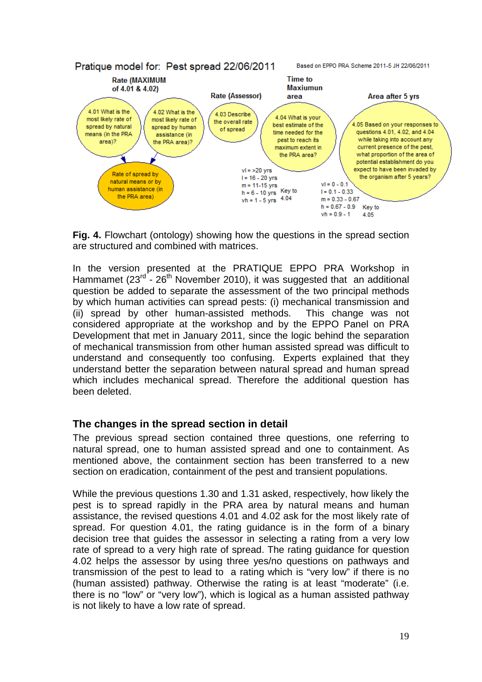

**Fig. 4.** Flowchart (ontology) showing how the questions in the spread section are structured and combined with matrices.

In the version presented at the PRATIQUE EPPO PRA Workshop in Hammamet ( $23^{rd}$  -  $26^{th}$  November 2010), it was suggested that an additional question be added to separate the assessment of the two principal methods by which human activities can spread pests: (i) mechanical transmission and (ii) spread by other human-assisted methods. This change was not considered appropriate at the workshop and by the EPPO Panel on PRA Development that met in January 2011, since the logic behind the separation of mechanical transmission from other human assisted spread was difficult to understand and consequently too confusing. Experts explained that they understand better the separation between natural spread and human spread which includes mechanical spread. Therefore the additional question has been deleted.

## <span id="page-20-0"></span>**The changes in the spread section in detail**

The previous spread section contained three questions, one referring to natural spread, one to human assisted spread and one to containment. As mentioned above, the containment section has been transferred to a new section on eradication, containment of the pest and transient populations.

While the previous questions 1.30 and 1.31 asked, respectively, how likely the pest is to spread rapidly in the PRA area by natural means and human assistance, the revised questions 4.01 and 4.02 ask for the most likely rate of spread. For question 4.01, the rating guidance is in the form of a binary decision tree that guides the assessor in selecting a rating from a very low rate of spread to a very high rate of spread. The rating guidance for question 4.02 helps the assessor by using three yes/no questions on pathways and transmission of the pest to lead to a rating which is "very low" if there is no (human assisted) pathway. Otherwise the rating is at least "moderate" (i.e. there is no "low" or "very low"), which is logical as a human assisted pathway is not likely to have a low rate of spread.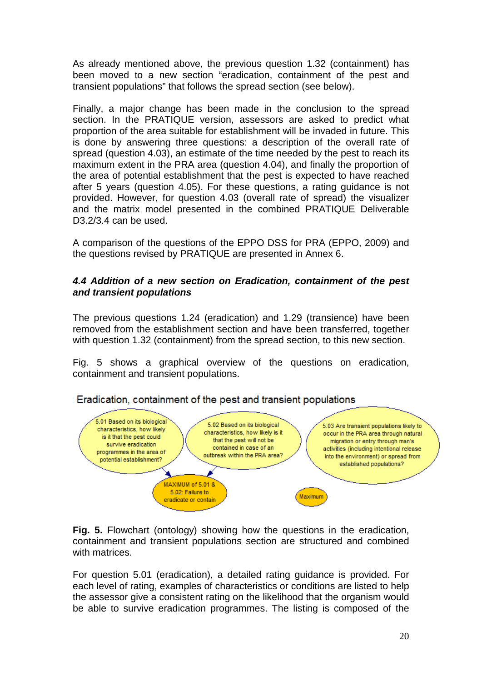As already mentioned above, the previous question 1.32 (containment) has been moved to a new section "eradication, containment of the pest and transient populations" that follows the spread section (see below).

Finally, a major change has been made in the conclusion to the spread section. In the PRATIQUE version, assessors are asked to predict what proportion of the area suitable for establishment will be invaded in future. This is done by answering three questions: a description of the overall rate of spread (question 4.03), an estimate of the time needed by the pest to reach its maximum extent in the PRA area (question 4.04), and finally the proportion of the area of potential establishment that the pest is expected to have reached after 5 years (question 4.05). For these questions, a rating guidance is not provided. However, for question 4.03 (overall rate of spread) the visualizer and the matrix model presented in the combined PRATIQUE Deliverable D<sub>3</sub>.2/<sub>3.4</sub> can be used.

A comparison of the questions of the EPPO DSS for PRA (EPPO, 2009) and the questions revised by PRATIQUE are presented in Annex 6.

#### <span id="page-21-0"></span>*4.4 Addition of a new section on Eradication, containment of the pest and transient populations*

The previous questions 1.24 (eradication) and 1.29 (transience) have been removed from the establishment section and have been transferred, together with question 1.32 (containment) from the spread section, to this new section.

Fig. 5 shows a graphical overview of the questions on eradication, containment and transient populations.



Eradication, containment of the pest and transient populations

**Fig. 5.** Flowchart (ontology) showing how the questions in the eradication, containment and transient populations section are structured and combined with matrices.

For question 5.01 (eradication), a detailed rating guidance is provided. For each level of rating, examples of characteristics or conditions are listed to help the assessor give a consistent rating on the likelihood that the organism would be able to survive eradication programmes. The listing is composed of the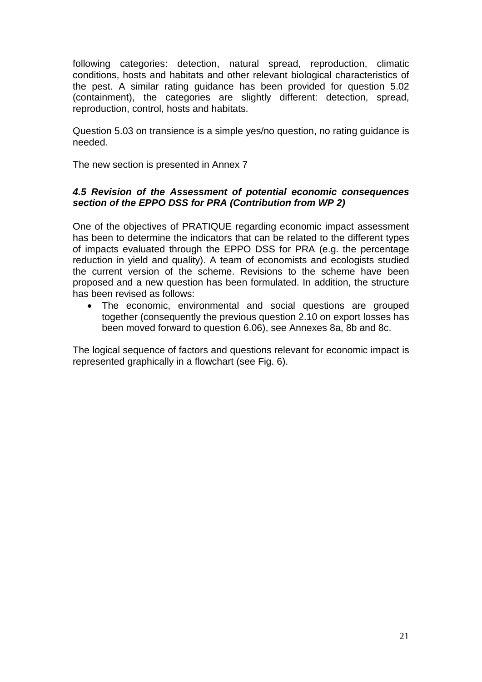following categories: detection, natural spread, reproduction, climatic conditions, hosts and habitats and other relevant biological characteristics of the pest. A similar rating guidance has been provided for question 5.02 (containment), the categories are slightly different: detection, spread, reproduction, control, hosts and habitats.

Question 5.03 on transience is a simple yes/no question, no rating guidance is needed.

The new section is presented in Annex 7

#### <span id="page-22-0"></span>*4.5 Revision of the Assessment of potential economic consequences section of the EPPO DSS for PRA (Contribution from WP 2)*

One of the objectives of PRATIQUE regarding economic impact assessment has been to determine the indicators that can be related to the different types of impacts evaluated through the EPPO DSS for PRA (e.g. the percentage reduction in yield and quality). A team of economists and ecologists studied the current version of the scheme. Revisions to the scheme have been proposed and a new question has been formulated. In addition, the structure has been revised as follows:

• The economic, environmental and social questions are grouped together (consequently the previous question 2.10 on export losses has been moved forward to question 6.06), see Annexes 8a, 8b and 8c.

The logical sequence of factors and questions relevant for economic impact is represented graphically in a flowchart (see Fig. 6).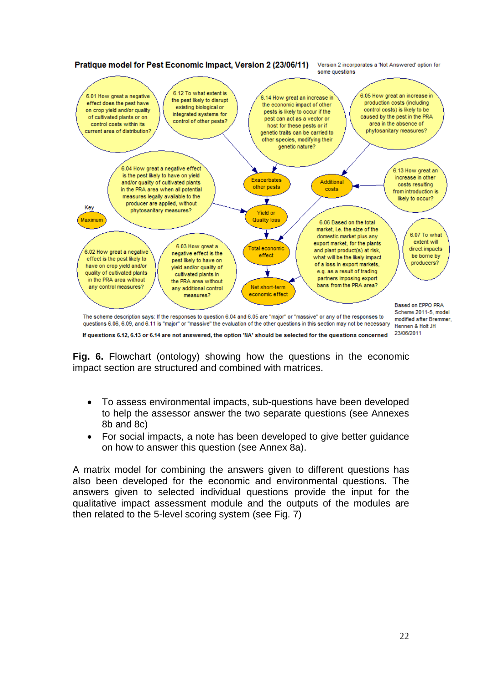

If questions 6.12, 6.13 or 6.14 are not answered, the option 'NA' should be selected for the questions concerned

**Fig. 6.** Flowchart (ontology) showing how the questions in the economic impact section are structured and combined with matrices.

- To assess environmental impacts, sub-questions have been developed to help the assessor answer the two separate questions (see Annexes 8b and 8c)
- For social impacts, a note has been developed to give better guidance on how to answer this question (see Annex 8a).

A matrix model for combining the answers given to different questions has also been developed for the economic and environmental questions. The answers given to selected individual questions provide the input for the qualitative impact assessment module and the outputs of the modules are then related to the 5-level scoring system (see Fig. 7)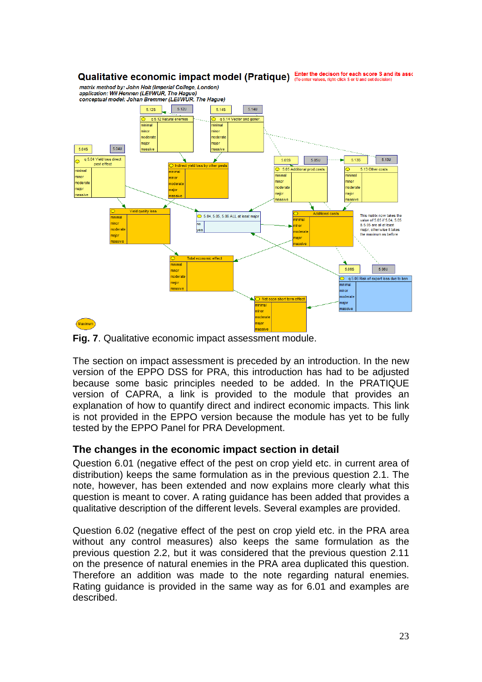

**Fig. 7**. Qualitative economic impact assessment module.

The section on impact assessment is preceded by an introduction. In the new version of the EPPO DSS for PRA, this introduction has had to be adjusted because some basic principles needed to be added. In the PRATIQUE version of CAPRA, a link is provided to the module that provides an explanation of how to quantify direct and indirect economic impacts. This link is not provided in the EPPO version because the module has yet to be fully tested by the EPPO Panel for PRA Development.

# <span id="page-24-0"></span>**The changes in the economic impact section in detail**

Question 6.01 (negative effect of the pest on crop yield etc. in current area of distribution) keeps the same formulation as in the previous question 2.1. The note, however, has been extended and now explains more clearly what this question is meant to cover. A rating guidance has been added that provides a qualitative description of the different levels. Several examples are provided.

Question 6.02 (negative effect of the pest on crop yield etc. in the PRA area without any control measures) also keeps the same formulation as the previous question 2.2, but it was considered that the previous question 2.11 on the presence of natural enemies in the PRA area duplicated this question. Therefore an addition was made to the note regarding natural enemies. Rating guidance is provided in the same way as for 6.01 and examples are described.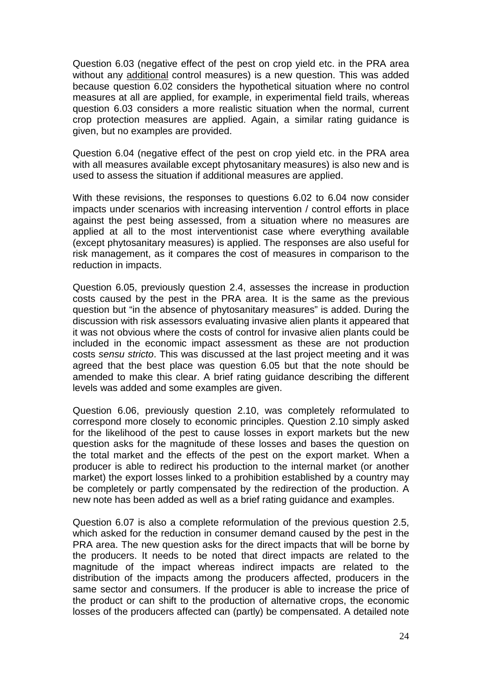Question 6.03 (negative effect of the pest on crop yield etc. in the PRA area without any additional control measures) is a new question. This was added because question 6.02 considers the hypothetical situation where no control measures at all are applied, for example, in experimental field trails, whereas question 6.03 considers a more realistic situation when the normal, current crop protection measures are applied. Again, a similar rating guidance is given, but no examples are provided.

Question 6.04 (negative effect of the pest on crop yield etc. in the PRA area with all measures available except phytosanitary measures) is also new and is used to assess the situation if additional measures are applied.

With these revisions, the responses to questions 6.02 to 6.04 now consider impacts under scenarios with increasing intervention / control efforts in place against the pest being assessed, from a situation where no measures are applied at all to the most interventionist case where everything available (except phytosanitary measures) is applied. The responses are also useful for risk management, as it compares the cost of measures in comparison to the reduction in impacts.

Question 6.05, previously question 2.4, assesses the increase in production costs caused by the pest in the PRA area. It is the same as the previous question but "in the absence of phytosanitary measures" is added. During the discussion with risk assessors evaluating invasive alien plants it appeared that it was not obvious where the costs of control for invasive alien plants could be included in the economic impact assessment as these are not production costs *sensu stricto*. This was discussed at the last project meeting and it was agreed that the best place was question 6.05 but that the note should be amended to make this clear. A brief rating guidance describing the different levels was added and some examples are given.

Question 6.06, previously question 2.10, was completely reformulated to correspond more closely to economic principles. Question 2.10 simply asked for the likelihood of the pest to cause losses in export markets but the new question asks for the magnitude of these losses and bases the question on the total market and the effects of the pest on the export market. When a producer is able to redirect his production to the internal market (or another market) the export losses linked to a prohibition established by a country may be completely or partly compensated by the redirection of the production. A new note has been added as well as a brief rating guidance and examples.

Question 6.07 is also a complete reformulation of the previous question 2.5, which asked for the reduction in consumer demand caused by the pest in the PRA area. The new question asks for the direct impacts that will be borne by the producers. It needs to be noted that direct impacts are related to the magnitude of the impact whereas indirect impacts are related to the distribution of the impacts among the producers affected, producers in the same sector and consumers. If the producer is able to increase the price of the product or can shift to the production of alternative crops, the economic losses of the producers affected can (partly) be compensated. A detailed note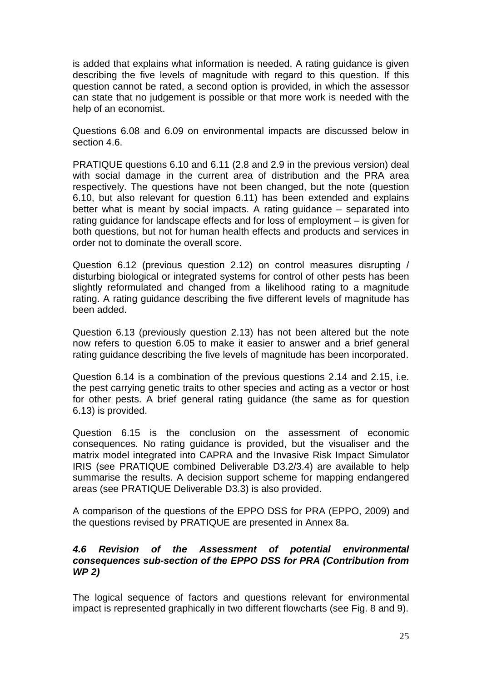is added that explains what information is needed. A rating guidance is given describing the five levels of magnitude with regard to this question. If this question cannot be rated, a second option is provided, in which the assessor can state that no judgement is possible or that more work is needed with the help of an economist.

Questions 6.08 and 6.09 on environmental impacts are discussed below in section 4.6.

PRATIQUE questions 6.10 and 6.11 (2.8 and 2.9 in the previous version) deal with social damage in the current area of distribution and the PRA area respectively. The questions have not been changed, but the note (question 6.10, but also relevant for question 6.11) has been extended and explains better what is meant by social impacts. A rating guidance – separated into rating guidance for landscape effects and for loss of employment – is given for both questions, but not for human health effects and products and services in order not to dominate the overall score.

Question 6.12 (previous question 2.12) on control measures disrupting / disturbing biological or integrated systems for control of other pests has been slightly reformulated and changed from a likelihood rating to a magnitude rating. A rating guidance describing the five different levels of magnitude has been added.

Question 6.13 (previously question 2.13) has not been altered but the note now refers to question 6.05 to make it easier to answer and a brief general rating guidance describing the five levels of magnitude has been incorporated.

Question 6.14 is a combination of the previous questions 2.14 and 2.15, i.e. the pest carrying genetic traits to other species and acting as a vector or host for other pests. A brief general rating guidance (the same as for question 6.13) is provided.

Question 6.15 is the conclusion on the assessment of economic consequences. No rating guidance is provided, but the visualiser and the matrix model integrated into CAPRA and the Invasive Risk Impact Simulator IRIS (see PRATIQUE combined Deliverable D3.2/3.4) are available to help summarise the results. A decision support scheme for mapping endangered areas (see PRATIQUE Deliverable D3.3) is also provided.

A comparison of the questions of the EPPO DSS for PRA (EPPO, 2009) and the questions revised by PRATIQUE are presented in Annex 8a.

#### <span id="page-26-0"></span>*4.6 Revision of the Assessment of potential environmental consequences sub-section of the EPPO DSS for PRA (Contribution from WP 2)*

The logical sequence of factors and questions relevant for environmental impact is represented graphically in two different flowcharts (see Fig. 8 and 9).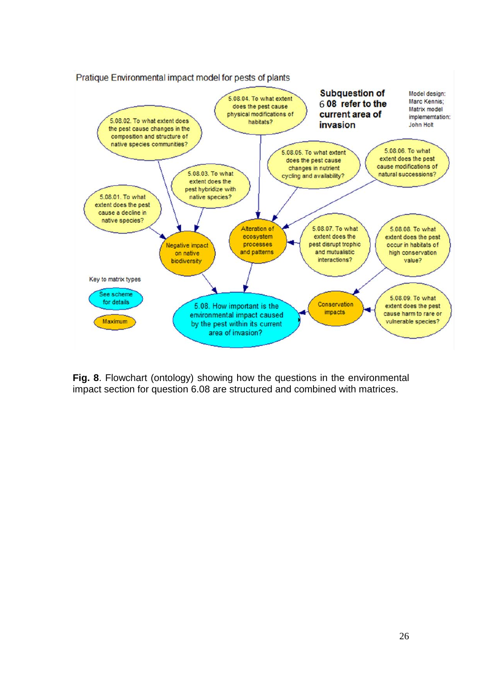

**Fig. 8**. Flowchart (ontology) showing how the questions in the environmental impact section for question 6.08 are structured and combined with matrices.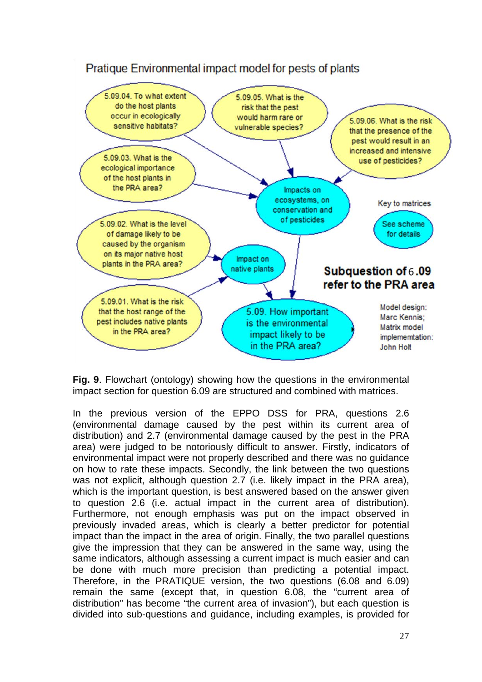

**Fig. 9**. Flowchart (ontology) showing how the questions in the environmental impact section for question 6.09 are structured and combined with matrices.

In the previous version of the EPPO DSS for PRA, questions 2.6 (environmental damage caused by the pest within its current area of distribution) and 2.7 (environmental damage caused by the pest in the PRA area) were judged to be notoriously difficult to answer. Firstly, indicators of environmental impact were not properly described and there was no guidance on how to rate these impacts. Secondly, the link between the two questions was not explicit, although question 2.7 (i.e. likely impact in the PRA area), which is the important question, is best answered based on the answer given to question 2.6 (i.e. actual impact in the current area of distribution). Furthermore, not enough emphasis was put on the impact observed in previously invaded areas, which is clearly a better predictor for potential impact than the impact in the area of origin. Finally, the two parallel questions give the impression that they can be answered in the same way, using the same indicators, although assessing a current impact is much easier and can be done with much more precision than predicting a potential impact. Therefore, in the PRATIQUE version, the two questions (6.08 and 6.09) remain the same (except that, in question 6.08, the "current area of distribution" has become "the current area of invasion"), but each question is divided into sub-questions and guidance, including examples, is provided for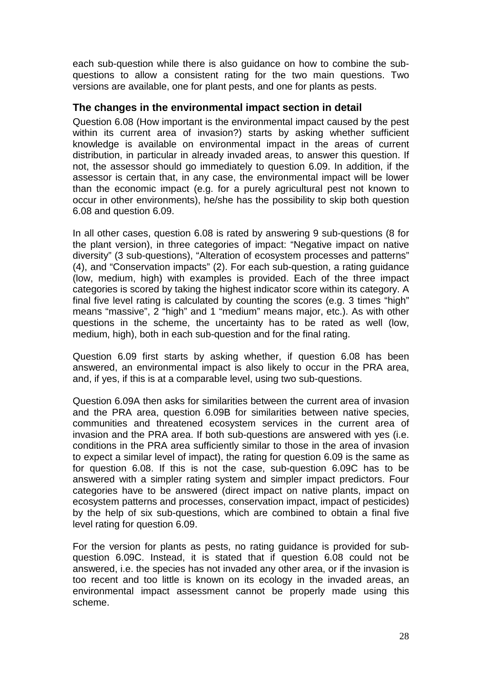each sub-question while there is also guidance on how to combine the subquestions to allow a consistent rating for the two main questions. Two versions are available, one for plant pests, and one for plants as pests.

### <span id="page-29-0"></span>**The changes in the environmental impact section in detail**

Question 6.08 (How important is the environmental impact caused by the pest within its current area of invasion?) starts by asking whether sufficient knowledge is available on environmental impact in the areas of current distribution, in particular in already invaded areas, to answer this question. If not, the assessor should go immediately to question 6.09. In addition, if the assessor is certain that, in any case, the environmental impact will be lower than the economic impact (e.g. for a purely agricultural pest not known to occur in other environments), he/she has the possibility to skip both question 6.08 and question 6.09.

In all other cases, question 6.08 is rated by answering 9 sub-questions (8 for the plant version), in three categories of impact: "Negative impact on native diversity" (3 sub-questions), "Alteration of ecosystem processes and patterns" (4), and "Conservation impacts" (2). For each sub-question, a rating guidance (low, medium, high) with examples is provided. Each of the three impact categories is scored by taking the highest indicator score within its category. A final five level rating is calculated by counting the scores (e.g. 3 times "high" means "massive", 2 "high" and 1 "medium" means major, etc.). As with other questions in the scheme, the uncertainty has to be rated as well (low, medium, high), both in each sub-question and for the final rating.

Question 6.09 first starts by asking whether, if question 6.08 has been answered, an environmental impact is also likely to occur in the PRA area, and, if yes, if this is at a comparable level, using two sub-questions.

Question 6.09A then asks for similarities between the current area of invasion and the PRA area, question 6.09B for similarities between native species, communities and threatened ecosystem services in the current area of invasion and the PRA area. If both sub-questions are answered with yes (i.e. conditions in the PRA area sufficiently similar to those in the area of invasion to expect a similar level of impact), the rating for question 6.09 is the same as for question 6.08. If this is not the case, sub-question 6.09C has to be answered with a simpler rating system and simpler impact predictors. Four categories have to be answered (direct impact on native plants, impact on ecosystem patterns and processes, conservation impact, impact of pesticides) by the help of six sub-questions, which are combined to obtain a final five level rating for question 6.09.

For the version for plants as pests, no rating guidance is provided for subquestion 6.09C. Instead, it is stated that if question 6.08 could not be answered, i.e. the species has not invaded any other area, or if the invasion is too recent and too little is known on its ecology in the invaded areas, an environmental impact assessment cannot be properly made using this scheme.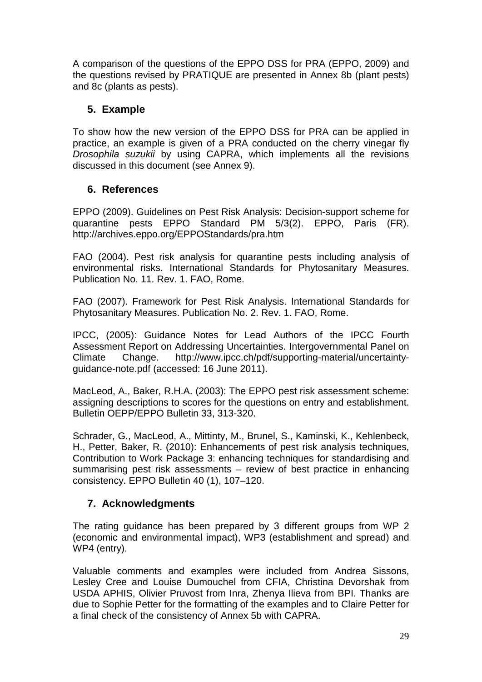A comparison of the questions of the EPPO DSS for PRA (EPPO, 2009) and the questions revised by PRATIQUE are presented in Annex 8b (plant pests) and 8c (plants as pests).

# **5. Example**

To show how the new version of the EPPO DSS for PRA can be applied in practice, an example is given of a PRA conducted on the cherry vinegar fly *Drosophila suzukii* by using CAPRA, which implements all the revisions discussed in this document (see Annex 9).

# <span id="page-30-0"></span>**6. References**

EPPO (2009). Guidelines on Pest Risk Analysis: Decision-support scheme for quarantine pests EPPO Standard PM 5/3(2). EPPO, Paris (FR). http://archives.eppo.org/EPPOStandards/pra.htm

FAO (2004). Pest risk analysis for quarantine pests including analysis of environmental risks. International Standards for Phytosanitary Measures. Publication No. 11. Rev. 1. FAO, Rome.

FAO (2007). Framework for Pest Risk Analysis. International Standards for Phytosanitary Measures. Publication No. 2. Rev. 1. FAO, Rome.

IPCC, (2005): Guidance Notes for Lead Authors of the IPCC Fourth Assessment Report on Addressing Uncertainties. Intergovernmental Panel on Climate Change. [http://www.ipcc.ch/pdf/supporting-material/uncertainty](http://www.ipcc.ch/pdf/supporting-material/uncertainty-guidance-note.pdf)[guidance-note.pdf](http://www.ipcc.ch/pdf/supporting-material/uncertainty-guidance-note.pdf) (accessed: 16 June 2011).

MacLeod, A., Baker, R.H.A. (2003): The EPPO pest risk assessment scheme: assigning descriptions to scores for the questions on entry and establishment. Bulletin OEPP/EPPO Bulletin 33, 313-320.

Schrader, G., MacLeod, A., Mittinty, M., Brunel, S., Kaminski, K., Kehlenbeck, H., Petter, Baker, R. (2010): Enhancements of pest risk analysis techniques, Contribution to Work Package 3: enhancing techniques for standardising and summarising pest risk assessments – review of best practice in enhancing consistency. EPPO Bulletin 40 (1), 107–120.

# <span id="page-30-1"></span>**7. Acknowledgments**

The rating guidance has been prepared by 3 different groups from WP 2 (economic and environmental impact), WP3 (establishment and spread) and WP4 (entry).

Valuable comments and examples were included from Andrea Sissons, Lesley Cree and Louise Dumouchel from CFIA, Christina Devorshak from USDA APHIS, Olivier Pruvost from Inra, Zhenya Ilieva from BPI. Thanks are due to Sophie Petter for the formatting of the examples and to Claire Petter for a final check of the consistency of Annex 5b with CAPRA.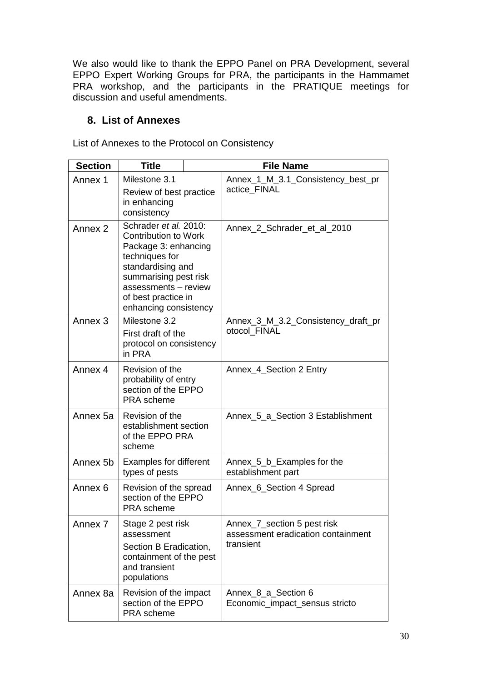We also would like to thank the EPPO Panel on PRA Development, several EPPO Expert Working Groups for PRA, the participants in the Hammamet PRA workshop, and the participants in the PRATIQUE meetings for discussion and useful amendments.

# <span id="page-31-0"></span>**8. List of Annexes**

List of Annexes to the Protocol on Consistency

| <b>Section</b>                                                                          | <b>Title</b>                                                                                                                                                                                                         |  | <b>File Name</b>                                                               |
|-----------------------------------------------------------------------------------------|----------------------------------------------------------------------------------------------------------------------------------------------------------------------------------------------------------------------|--|--------------------------------------------------------------------------------|
| Annex 1                                                                                 | Milestone 3.1<br>Review of best practice<br>in enhancing<br>consistency                                                                                                                                              |  | Annex_1_M_3.1_Consistency_best_pr<br>actice FINAL                              |
| Annex 2                                                                                 | Schrader et al. 2010:<br><b>Contribution to Work</b><br>Package 3: enhancing<br>techniques for<br>standardising and<br>summarising pest risk<br>assessments - review<br>of best practice in<br>enhancing consistency |  | Annex_2_Schrader_et_al_2010                                                    |
| Annex <sub>3</sub>                                                                      | Milestone 3.2<br>First draft of the<br>protocol on consistency<br>in PRA                                                                                                                                             |  | Annex_3_M_3.2_Consistency_draft_pr<br>otocol FINAL                             |
| Annex 4<br>Revision of the<br>probability of entry<br>section of the EPPO<br>PRA scheme |                                                                                                                                                                                                                      |  | Annex_4_Section 2 Entry                                                        |
| Annex 5a                                                                                | Revision of the<br>establishment section<br>of the EPPO PRA<br>scheme                                                                                                                                                |  | Annex_5_a_Section 3 Establishment                                              |
| Annex 5b                                                                                | <b>Examples for different</b><br>types of pests                                                                                                                                                                      |  | Annex_5_b_Examples for the<br>establishment part                               |
| Annex 6                                                                                 | Revision of the spread<br>section of the EPPO<br>PRA scheme                                                                                                                                                          |  | Annex_6_Section 4 Spread                                                       |
| Annex <sub>7</sub>                                                                      | Stage 2 pest risk<br>assessment<br>Section B Eradication,<br>containment of the pest<br>and transient<br>populations                                                                                                 |  | Annex_7_section 5 pest risk<br>assessment eradication containment<br>transient |
| Annex 8a                                                                                | Revision of the impact<br>section of the EPPO<br>PRA scheme                                                                                                                                                          |  | Annex 8 a Section 6<br>Economic_impact_sensus stricto                          |